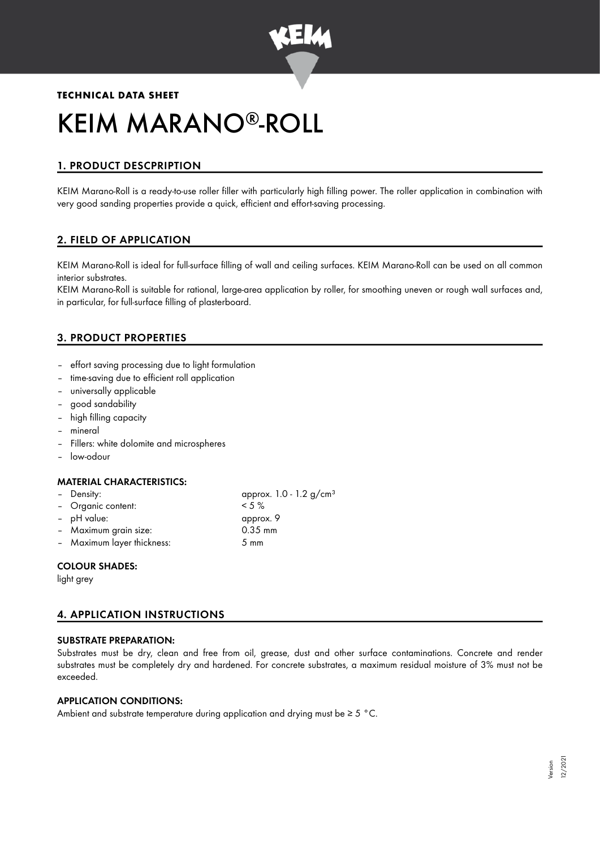

## **TECHNICAL DATA SHEET**

# KEIM MARANO®-ROLL

# 1. PRODUCT DESCPRIPTION

KEIM Marano-Roll is a ready-to-use roller filler with particularly high filling power. The roller application in combination with very good sanding properties provide a quick, efficient and effort-saving processing.

# 2. FIELD OF APPLICATION

KEIM Marano-Roll is ideal for full-surface filling of wall and ceiling surfaces. KEIM Marano-Roll can be used on all common interior substrates.

KEIM Marano-Roll is suitable for rational, large-area application by roller, for smoothing uneven or rough wall surfaces and, in particular, for full-surface filling of plasterboard.

# 3. PRODUCT PROPERTIES

- effort saving processing due to light formulation
- time-saving due to efficient roll application
- universally applicable
- good sandability
- high filling capacity
- mineral
- Fillers: white dolomite and microspheres
- low-odour

## MATERIAL CHARACTERISTICS:

- Density: approx. 1.0 1.2 g/cm<sup>3</sup>
- Organic content: < 5 %
- pH value: approx. 9
- Maximum grain size: 0.35 mm
- Maximum layer thickness: 5 mm

## COLOUR SHADES:

light grey

# 4. APPLICATION INSTRUCTIONS

## SUBSTRATE PREPARATION:

Substrates must be dry, clean and free from oil, grease, dust and other surface contaminations. Concrete and render substrates must be completely dry and hardened. For concrete substrates, a maximum residual moisture of 3% must not be exceeded.

## APPLICATION CONDITIONS:

Ambient and substrate temperature during application and drying must be ≥ 5 °C.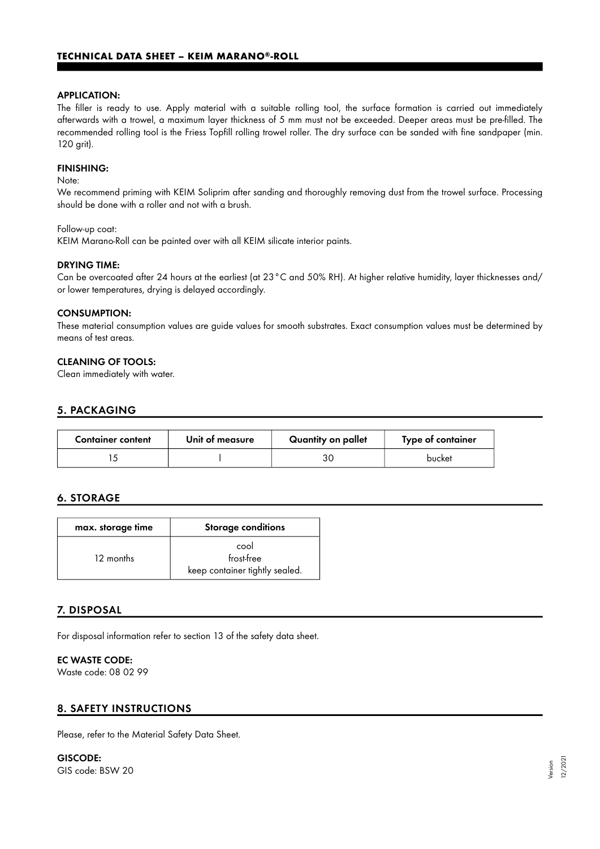## APPLICATION:

The filler is ready to use. Apply material with a suitable rolling tool, the surface formation is carried out immediately afterwards with a trowel, a maximum layer thickness of 5 mm must not be exceeded. Deeper areas must be pre-filled. The recommended rolling tool is the Friess Topfill rolling trowel roller. The dry surface can be sanded with fine sandpaper (min. 120 grit).

## FINISHING:

Note:

We recommend priming with KEIM Soliprim after sanding and thoroughly removing dust from the trowel surface. Processing should be done with a roller and not with a brush.

#### Follow-up coat:

KEIM Marano-Roll can be painted over with all KEIM silicate interior paints.

#### DRYING TIME:

Can be overcoated after 24 hours at the earliest (at 23°C and 50% RH). At higher relative humidity, layer thicknesses and/ or lower temperatures, drying is delayed accordingly.

#### CONSUMPTION:

These material consumption values are guide values for smooth substrates. Exact consumption values must be determined by means of test areas.

## CLEANING OF TOOLS:

Clean immediately with water.

## 5. PACKAGING

| <b>Container content</b> | Unit of measure | Quantity on pallet | Type of container |
|--------------------------|-----------------|--------------------|-------------------|
|                          |                 |                    | bucket            |

## 6. STORAGE

| max. storage time | <b>Storage conditions</b>                            |  |
|-------------------|------------------------------------------------------|--|
| 12 months         | cool<br>frost-free<br>keep container tightly sealed. |  |

## 7. DISPOSAL

For disposal information refer to section 13 of the safety data sheet.

#### EC WASTE CODE:

Waste code: 08 02 99

## 8. SAFETY INSTRUCTIONS

Please, refer to the Material Safety Data Sheet.

GISCODE: GIS code: BSW 20